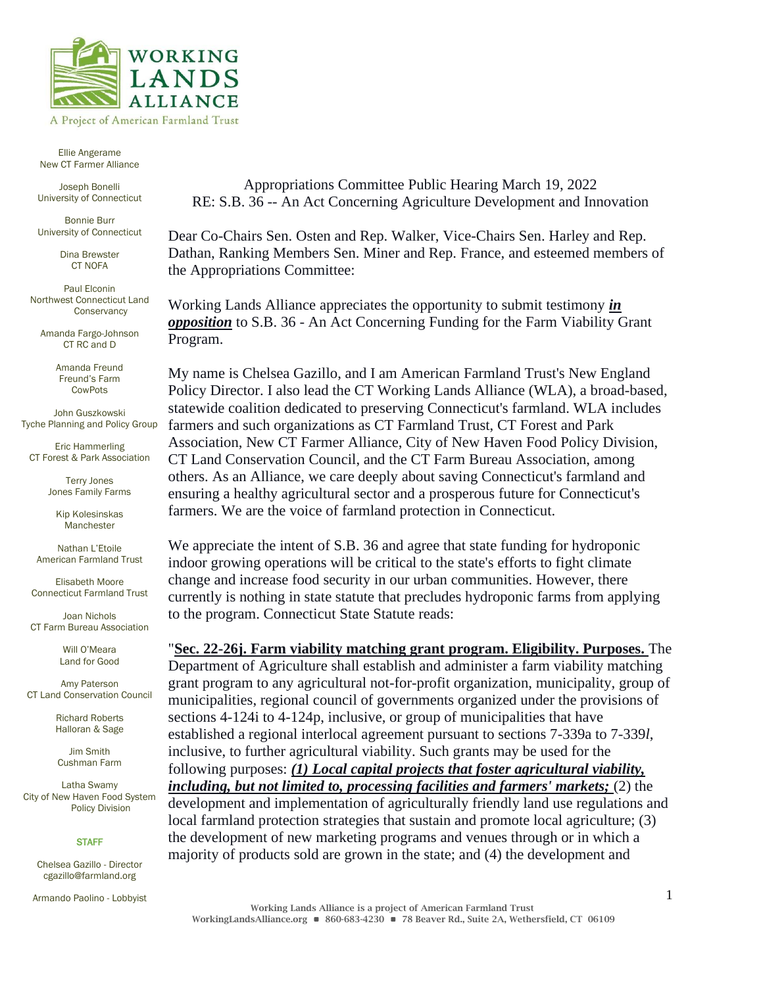

Ellie Angerame New CT Farmer Alliance

STEERING COMMITTEE

Joseph Bonelli University of Connecticut

Bonnie Burr University of Connecticut

> Dina Brewster CT NOFA

Paul Elconin Northwest Connecticut Land **Conservancy** 

Amanda Fargo-Johnson CT RC and D

> Amanda Freund Freund's Farm CowPots

John Guszkowski Tyche Planning and Policy Group

Eric Hammerling CT Forest & Park Association

> Terry Jones Jones Family Farms

Kip Kolesinskas Manchester

Nathan L'Etoile American Farmland Trust

Elisabeth Moore Connecticut Farmland Trust

Joan Nichols CT Farm Bureau Association

> Will O'Meara Land for Good

Amy Paterson CT Land Conservation Council

> Richard Roberts Halloran & Sage

Jim Smith Cushman Farm

Latha Swamy City of New Haven Food System Policy Division

## **STAFF**

Chelsea Gazillo - Director cgazillo@farmland.org

Armando Paolino - Lobbyist

Appropriations Committee Public Hearing March 19, 2022 RE: S.B. 36 -- An Act Concerning Agriculture Development and Innovation

Dear Co-Chairs Sen. Osten and Rep. Walker, Vice-Chairs Sen. Harley and Rep. Dathan, Ranking Members Sen. Miner and Rep. France, and esteemed members of the Appropriations Committee:

Working Lands Alliance appreciates the opportunity to submit testimony *in opposition* to S.B. 36 - An Act Concerning Funding for the Farm Viability Grant Program.

My name is Chelsea Gazillo, and I am American Farmland Trust's New England Policy Director. I also lead the CT Working Lands Alliance (WLA), a broad-based, statewide coalition dedicated to preserving Connecticut's farmland. WLA includes farmers and such organizations as CT Farmland Trust, CT Forest and Park Association, New CT Farmer Alliance, City of New Haven Food Policy Division, CT Land Conservation Council, and the CT Farm Bureau Association, among others. As an Alliance, we care deeply about saving Connecticut's farmland and ensuring a healthy agricultural sector and a prosperous future for Connecticut's farmers. We are the voice of farmland protection in Connecticut.

We appreciate the intent of S.B. 36 and agree that state funding for hydroponic indoor growing operations will be critical to the state's efforts to fight climate change and increase food security in our urban communities. However, there currently is nothing in state statute that precludes hydroponic farms from applying to the program. Connecticut State Statute reads:

"**[Sec. 22-26j. Farm viability matching grant program. Eligibility. Purposes.](https://www.cga.ct.gov/current/pub/chap_422.htm#sec_22-26j)** The Department of Agriculture shall establish and administer a farm viability matching grant program to any agricultural not-for-profit organization, municipality, group of municipalities, regional council of governments organized under the provisions of sections 4-124i to 4-124p, inclusive, or group of municipalities that have established a regional interlocal agreement pursuant to sections 7-339a to 7-339*l*, inclusive, to further agricultural viability. Such grants may be used for the following purposes: *(1) Local capital projects that foster agricultural viability, including, but not limited to, processing facilities and farmers' markets;* (2) the development and implementation of agriculturally friendly land use regulations and local farmland protection strategies that sustain and promote local agriculture; (3) the development of new marketing programs and venues through or in which a majority of products sold are grown in the state; and (4) the development and